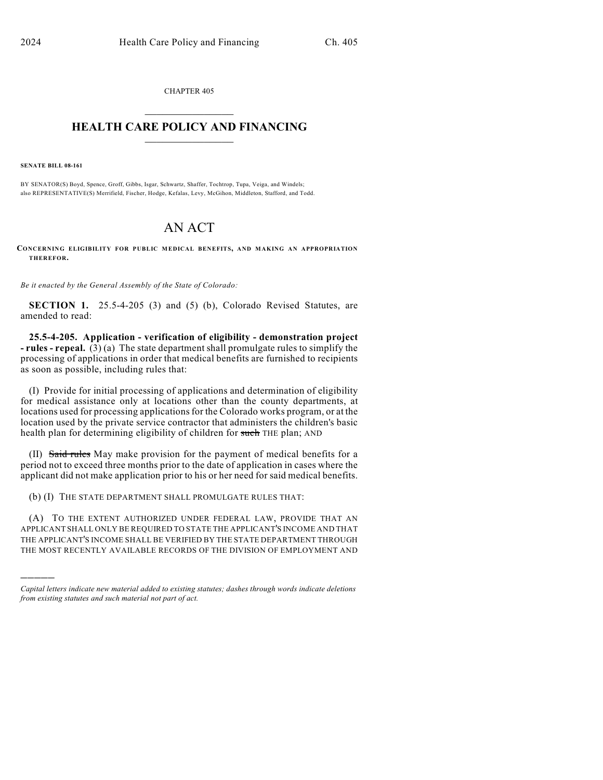CHAPTER 405  $\overline{\phantom{a}}$  . The set of the set of the set of the set of the set of the set of the set of the set of the set of the set of the set of the set of the set of the set of the set of the set of the set of the set of the set o

## **HEALTH CARE POLICY AND FINANCING**  $\_$   $\_$   $\_$   $\_$   $\_$   $\_$   $\_$   $\_$

**SENATE BILL 08-161**

)))))

BY SENATOR(S) Boyd, Spence, Groff, Gibbs, Isgar, Schwartz, Shaffer, Tochtrop, Tupa, Veiga, and Windels; also REPRESENTATIVE(S) Merrifield, Fischer, Hodge, Kefalas, Levy, McGihon, Middleton, Stafford, and Todd.

## AN ACT

**CONCERNING ELIGIBILITY FOR PUBLIC MEDICAL BENEFITS, AND MAKING AN APPROPRIATION THEREFOR.**

*Be it enacted by the General Assembly of the State of Colorado:*

**SECTION 1.** 25.5-4-205 (3) and (5) (b), Colorado Revised Statutes, are amended to read:

**25.5-4-205. Application - verification of eligibility - demonstration project - rules - repeal.** (3) (a) The state department shall promulgate rules to simplify the processing of applications in order that medical benefits are furnished to recipients as soon as possible, including rules that:

(I) Provide for initial processing of applications and determination of eligibility for medical assistance only at locations other than the county departments, at locations used for processing applications for the Colorado works program, or at the location used by the private service contractor that administers the children's basic health plan for determining eligibility of children for such THE plan; AND

(II) Said rules May make provision for the payment of medical benefits for a period not to exceed three months prior to the date of application in cases where the applicant did not make application prior to his or her need for said medical benefits.

(b) (I) THE STATE DEPARTMENT SHALL PROMULGATE RULES THAT:

(A) TO THE EXTENT AUTHORIZED UNDER FEDERAL LAW, PROVIDE THAT AN APPLICANT SHALL ONLY BE REQUIRED TO STATE THE APPLICANT'S INCOME AND THAT THE APPLICANT'S INCOME SHALL BE VERIFIED BY THE STATE DEPARTMENT THROUGH THE MOST RECENTLY AVAILABLE RECORDS OF THE DIVISION OF EMPLOYMENT AND

*Capital letters indicate new material added to existing statutes; dashes through words indicate deletions from existing statutes and such material not part of act.*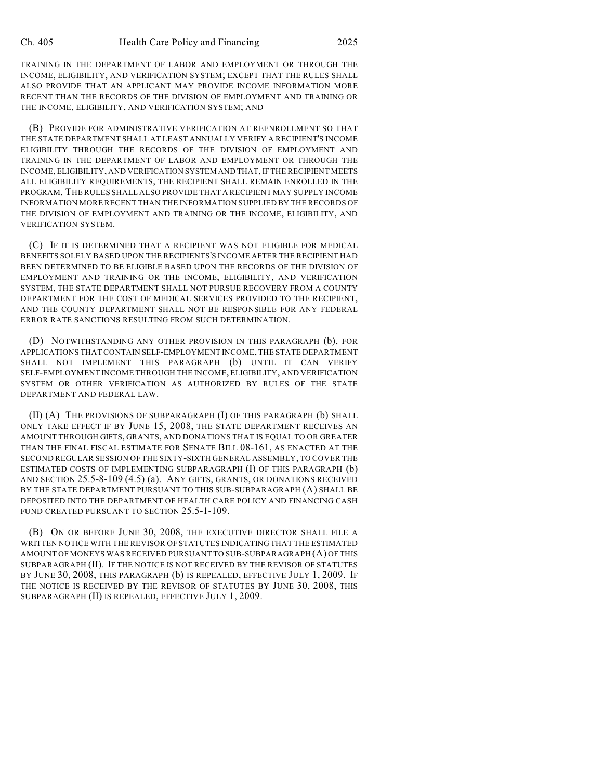TRAINING IN THE DEPARTMENT OF LABOR AND EMPLOYMENT OR THROUGH THE INCOME, ELIGIBILITY, AND VERIFICATION SYSTEM; EXCEPT THAT THE RULES SHALL ALSO PROVIDE THAT AN APPLICANT MAY PROVIDE INCOME INFORMATION MORE RECENT THAN THE RECORDS OF THE DIVISION OF EMPLOYMENT AND TRAINING OR THE INCOME, ELIGIBILITY, AND VERIFICATION SYSTEM; AND

(B) PROVIDE FOR ADMINISTRATIVE VERIFICATION AT REENROLLMENT SO THAT THE STATE DEPARTMENT SHALL AT LEAST ANNUALLY VERIFY A RECIPIENT'S INCOME ELIGIBILITY THROUGH THE RECORDS OF THE DIVISION OF EMPLOYMENT AND TRAINING IN THE DEPARTMENT OF LABOR AND EMPLOYMENT OR THROUGH THE INCOME, ELIGIBILITY, AND VERIFICATION SYSTEM AND THAT, IF THE RECIPIENT MEETS ALL ELIGIBILITY REQUIREMENTS, THE RECIPIENT SHALL REMAIN ENROLLED IN THE PROGRAM. THE RULES SHALL ALSO PROVIDE THAT A RECIPIENT MAY SUPPLY INCOME INFORMATION MORE RECENT THAN THE INFORMATION SUPPLIED BY THE RECORDS OF THE DIVISION OF EMPLOYMENT AND TRAINING OR THE INCOME, ELIGIBILITY, AND VERIFICATION SYSTEM.

(C) IF IT IS DETERMINED THAT A RECIPIENT WAS NOT ELIGIBLE FOR MEDICAL BENEFITS SOLELY BASED UPON THE RECIPIENTS'S INCOME AFTER THE RECIPIENT HAD BEEN DETERMINED TO BE ELIGIBLE BASED UPON THE RECORDS OF THE DIVISION OF EMPLOYMENT AND TRAINING OR THE INCOME, ELIGIBILITY, AND VERIFICATION SYSTEM, THE STATE DEPARTMENT SHALL NOT PURSUE RECOVERY FROM A COUNTY DEPARTMENT FOR THE COST OF MEDICAL SERVICES PROVIDED TO THE RECIPIENT, AND THE COUNTY DEPARTMENT SHALL NOT BE RESPONSIBLE FOR ANY FEDERAL ERROR RATE SANCTIONS RESULTING FROM SUCH DETERMINATION.

(D) NOTWITHSTANDING ANY OTHER PROVISION IN THIS PARAGRAPH (b), FOR APPLICATIONS THAT CONTAIN SELF-EMPLOYMENT INCOME, THE STATE DEPARTMENT SHALL NOT IMPLEMENT THIS PARAGRAPH (b) UNTIL IT CAN VERIFY SELF-EMPLOYMENT INCOME THROUGH THE INCOME, ELIGIBILITY, AND VERIFICATION SYSTEM OR OTHER VERIFICATION AS AUTHORIZED BY RULES OF THE STATE DEPARTMENT AND FEDERAL LAW.

(II) (A) THE PROVISIONS OF SUBPARAGRAPH (I) OF THIS PARAGRAPH (b) SHALL ONLY TAKE EFFECT IF BY JUNE 15, 2008, THE STATE DEPARTMENT RECEIVES AN AMOUNT THROUGH GIFTS, GRANTS, AND DONATIONS THAT IS EQUAL TO OR GREATER THAN THE FINAL FISCAL ESTIMATE FOR SENATE BILL 08-161, AS ENACTED AT THE SECOND REGULAR SESSION OF THE SIXTY-SIXTH GENERAL ASSEMBLY, TO COVER THE ESTIMATED COSTS OF IMPLEMENTING SUBPARAGRAPH (I) OF THIS PARAGRAPH (b) AND SECTION 25.5-8-109 (4.5) (a). ANY GIFTS, GRANTS, OR DONATIONS RECEIVED BY THE STATE DEPARTMENT PURSUANT TO THIS SUB-SUBPARAGRAPH (A) SHALL BE DEPOSITED INTO THE DEPARTMENT OF HEALTH CARE POLICY AND FINANCING CASH FUND CREATED PURSUANT TO SECTION 25.5-1-109.

(B) ON OR BEFORE JUNE 30, 2008, THE EXECUTIVE DIRECTOR SHALL FILE A WRITTEN NOTICE WITH THE REVISOR OF STATUTES INDICATING THAT THE ESTIMATED AMOUNT OF MONEYS WAS RECEIVED PURSUANT TO SUB-SUBPARAGRAPH (A) OF THIS SUBPARAGRAPH (II). IF THE NOTICE IS NOT RECEIVED BY THE REVISOR OF STATUTES BY JUNE 30, 2008, THIS PARAGRAPH (b) IS REPEALED, EFFECTIVE JULY 1, 2009. IF THE NOTICE IS RECEIVED BY THE REVISOR OF STATUTES BY JUNE 30, 2008, THIS SUBPARAGRAPH (II) IS REPEALED, EFFECTIVE JULY 1, 2009.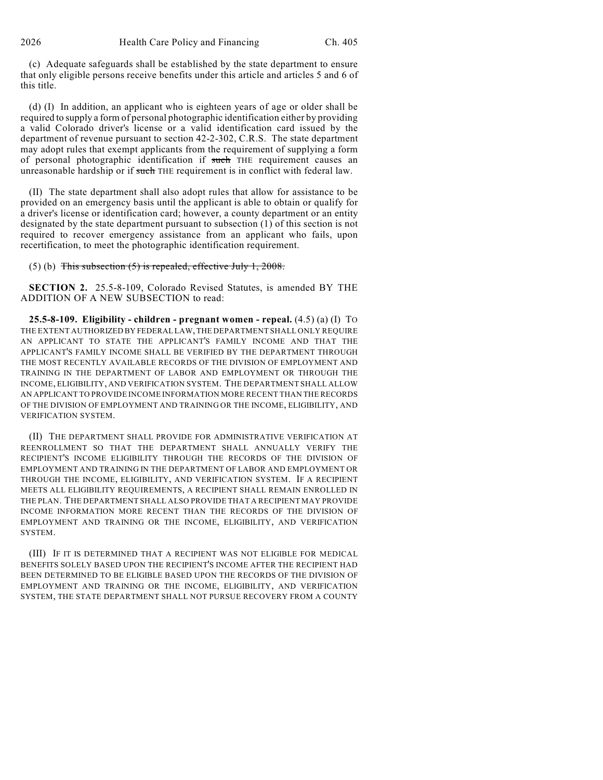(c) Adequate safeguards shall be established by the state department to ensure that only eligible persons receive benefits under this article and articles 5 and 6 of this title.

(d) (I) In addition, an applicant who is eighteen years of age or older shall be required to supply a form of personal photographic identification either by providing a valid Colorado driver's license or a valid identification card issued by the department of revenue pursuant to section 42-2-302, C.R.S. The state department may adopt rules that exempt applicants from the requirement of supplying a form of personal photographic identification if such THE requirement causes an unreasonable hardship or if such THE requirement is in conflict with federal law.

(II) The state department shall also adopt rules that allow for assistance to be provided on an emergency basis until the applicant is able to obtain or qualify for a driver's license or identification card; however, a county department or an entity designated by the state department pursuant to subsection (1) of this section is not required to recover emergency assistance from an applicant who fails, upon recertification, to meet the photographic identification requirement.

## (5) (b) This subsection  $(5)$  is repealed, effective July 1, 2008.

**SECTION 2.** 25.5-8-109, Colorado Revised Statutes, is amended BY THE ADDITION OF A NEW SUBSECTION to read:

**25.5-8-109. Eligibility - children - pregnant women - repeal.** (4.5) (a) (I) TO THE EXTENT AUTHORIZED BY FEDERAL LAW, THE DEPARTMENT SHALL ONLY REQUIRE AN APPLICANT TO STATE THE APPLICANT'S FAMILY INCOME AND THAT THE APPLICANT'S FAMILY INCOME SHALL BE VERIFIED BY THE DEPARTMENT THROUGH THE MOST RECENTLY AVAILABLE RECORDS OF THE DIVISION OF EMPLOYMENT AND TRAINING IN THE DEPARTMENT OF LABOR AND EMPLOYMENT OR THROUGH THE INCOME, ELIGIBILITY, AND VERIFICATION SYSTEM. THE DEPARTMENT SHALL ALLOW AN APPLICANT TO PROVIDE INCOME INFORMATION MORE RECENT THAN THE RECORDS OF THE DIVISION OF EMPLOYMENT AND TRAINING OR THE INCOME, ELIGIBILITY, AND VERIFICATION SYSTEM.

(II) THE DEPARTMENT SHALL PROVIDE FOR ADMINISTRATIVE VERIFICATION AT REENROLLMENT SO THAT THE DEPARTMENT SHALL ANNUALLY VERIFY THE RECIPIENT'S INCOME ELIGIBILITY THROUGH THE RECORDS OF THE DIVISION OF EMPLOYMENT AND TRAINING IN THE DEPARTMENT OF LABOR AND EMPLOYMENT OR THROUGH THE INCOME, ELIGIBILITY, AND VERIFICATION SYSTEM. IF A RECIPIENT MEETS ALL ELIGIBILITY REQUIREMENTS, A RECIPIENT SHALL REMAIN ENROLLED IN THE PLAN. THE DEPARTMENT SHALL ALSO PROVIDE THAT A RECIPIENT MAY PROVIDE INCOME INFORMATION MORE RECENT THAN THE RECORDS OF THE DIVISION OF EMPLOYMENT AND TRAINING OR THE INCOME, ELIGIBILITY, AND VERIFICATION SYSTEM.

(III) IF IT IS DETERMINED THAT A RECIPIENT WAS NOT ELIGIBLE FOR MEDICAL BENEFITS SOLELY BASED UPON THE RECIPIENT'S INCOME AFTER THE RECIPIENT HAD BEEN DETERMINED TO BE ELIGIBLE BASED UPON THE RECORDS OF THE DIVISION OF EMPLOYMENT AND TRAINING OR THE INCOME, ELIGIBILITY, AND VERIFICATION SYSTEM, THE STATE DEPARTMENT SHALL NOT PURSUE RECOVERY FROM A COUNTY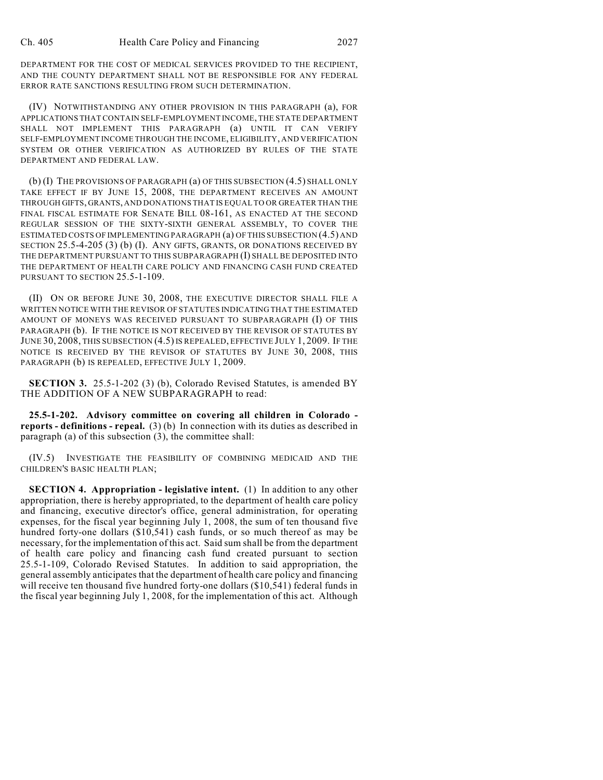DEPARTMENT FOR THE COST OF MEDICAL SERVICES PROVIDED TO THE RECIPIENT, AND THE COUNTY DEPARTMENT SHALL NOT BE RESPONSIBLE FOR ANY FEDERAL ERROR RATE SANCTIONS RESULTING FROM SUCH DETERMINATION.

(IV) NOTWITHSTANDING ANY OTHER PROVISION IN THIS PARAGRAPH (a), FOR APPLICATIONS THAT CONTAIN SELF-EMPLOYMENT INCOME, THE STATE DEPARTMENT SHALL NOT IMPLEMENT THIS PARAGRAPH (a) UNTIL IT CAN VERIFY SELF-EMPLOYMENT INCOME THROUGH THE INCOME, ELIGIBILITY, AND VERIFICATION SYSTEM OR OTHER VERIFICATION AS AUTHORIZED BY RULES OF THE STATE DEPARTMENT AND FEDERAL LAW.

(b) (I) THE PROVISIONS OF PARAGRAPH (a) OF THIS SUBSECTION (4.5) SHALL ONLY TAKE EFFECT IF BY JUNE 15, 2008, THE DEPARTMENT RECEIVES AN AMOUNT THROUGH GIFTS, GRANTS, AND DONATIONS THAT IS EQUAL TO OR GREATER THAN THE FINAL FISCAL ESTIMATE FOR SENATE BILL 08-161, AS ENACTED AT THE SECOND REGULAR SESSION OF THE SIXTY-SIXTH GENERAL ASSEMBLY, TO COVER THE ESTIMATED COSTS OF IMPLEMENTING PARAGRAPH (a) OF THIS SUBSECTION (4.5) AND SECTION 25.5-4-205 (3) (b) (I). ANY GIFTS, GRANTS, OR DONATIONS RECEIVED BY THE DEPARTMENT PURSUANT TO THIS SUBPARAGRAPH (I) SHALL BE DEPOSITED INTO THE DEPARTMENT OF HEALTH CARE POLICY AND FINANCING CASH FUND CREATED PURSUANT TO SECTION 25.5-1-109.

(II) ON OR BEFORE JUNE 30, 2008, THE EXECUTIVE DIRECTOR SHALL FILE A WRITTEN NOTICE WITH THE REVISOR OF STATUTES INDICATING THAT THE ESTIMATED AMOUNT OF MONEYS WAS RECEIVED PURSUANT TO SUBPARAGRAPH (I) OF THIS PARAGRAPH (b). IF THE NOTICE IS NOT RECEIVED BY THE REVISOR OF STATUTES BY JUNE 30, 2008, THIS SUBSECTION (4.5) IS REPEALED, EFFECTIVE JULY 1, 2009. IF THE NOTICE IS RECEIVED BY THE REVISOR OF STATUTES BY JUNE 30, 2008, THIS PARAGRAPH (b) IS REPEALED, EFFECTIVE JULY 1, 2009.

**SECTION 3.** 25.5-1-202 (3) (b), Colorado Revised Statutes, is amended BY THE ADDITION OF A NEW SUBPARAGRAPH to read:

**25.5-1-202. Advisory committee on covering all children in Colorado reports - definitions - repeal.** (3) (b) In connection with its duties as described in paragraph (a) of this subsection (3), the committee shall:

(IV.5) INVESTIGATE THE FEASIBILITY OF COMBINING MEDICAID AND THE CHILDREN'S BASIC HEALTH PLAN;

**SECTION 4. Appropriation - legislative intent.** (1) In addition to any other appropriation, there is hereby appropriated, to the department of health care policy and financing, executive director's office, general administration, for operating expenses, for the fiscal year beginning July 1, 2008, the sum of ten thousand five hundred forty-one dollars (\$10,541) cash funds, or so much thereof as may be necessary, for the implementation of this act. Said sum shall be from the department of health care policy and financing cash fund created pursuant to section 25.5-1-109, Colorado Revised Statutes. In addition to said appropriation, the general assembly anticipates that the department of health care policy and financing will receive ten thousand five hundred forty-one dollars (\$10,541) federal funds in the fiscal year beginning July 1, 2008, for the implementation of this act. Although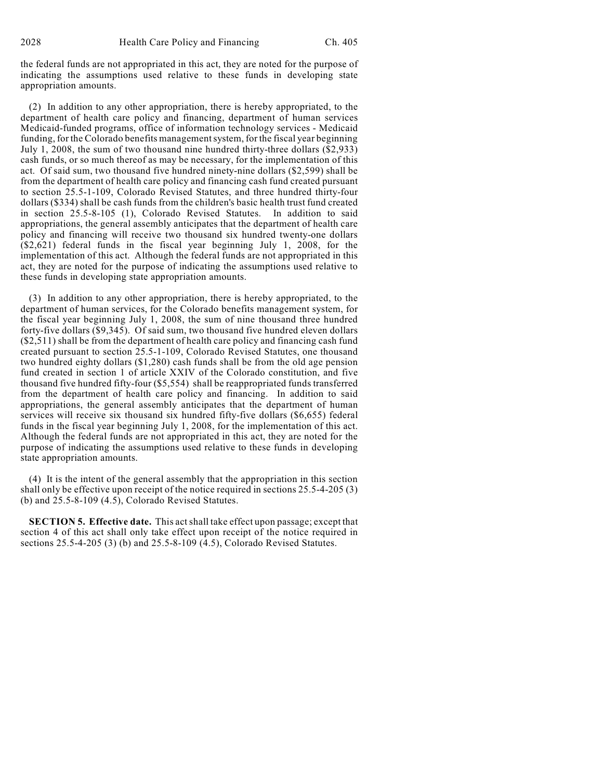the federal funds are not appropriated in this act, they are noted for the purpose of indicating the assumptions used relative to these funds in developing state appropriation amounts.

(2) In addition to any other appropriation, there is hereby appropriated, to the department of health care policy and financing, department of human services Medicaid-funded programs, office of information technology services - Medicaid funding, for the Colorado benefits management system, for the fiscal year beginning July 1, 2008, the sum of two thousand nine hundred thirty-three dollars (\$2,933) cash funds, or so much thereof as may be necessary, for the implementation of this act. Of said sum, two thousand five hundred ninety-nine dollars (\$2,599) shall be from the department of health care policy and financing cash fund created pursuant to section 25.5-1-109, Colorado Revised Statutes, and three hundred thirty-four dollars (\$334) shall be cash funds from the children's basic health trust fund created in section 25.5-8-105 (1), Colorado Revised Statutes. In addition to said appropriations, the general assembly anticipates that the department of health care policy and financing will receive two thousand six hundred twenty-one dollars  $($ \$2,621) federal funds in the fiscal year beginning July 1, 2008, for the implementation of this act. Although the federal funds are not appropriated in this act, they are noted for the purpose of indicating the assumptions used relative to these funds in developing state appropriation amounts.

(3) In addition to any other appropriation, there is hereby appropriated, to the department of human services, for the Colorado benefits management system, for the fiscal year beginning July 1, 2008, the sum of nine thousand three hundred forty-five dollars (\$9,345). Of said sum, two thousand five hundred eleven dollars (\$2,511) shall be from the department of health care policy and financing cash fund created pursuant to section 25.5-1-109, Colorado Revised Statutes, one thousand two hundred eighty dollars (\$1,280) cash funds shall be from the old age pension fund created in section 1 of article XXIV of the Colorado constitution, and five thousand five hundred fifty-four (\$5,554) shall be reappropriated funds transferred from the department of health care policy and financing. In addition to said appropriations, the general assembly anticipates that the department of human services will receive six thousand six hundred fifty-five dollars (\$6,655) federal funds in the fiscal year beginning July 1, 2008, for the implementation of this act. Although the federal funds are not appropriated in this act, they are noted for the purpose of indicating the assumptions used relative to these funds in developing state appropriation amounts.

(4) It is the intent of the general assembly that the appropriation in this section shall only be effective upon receipt of the notice required in sections 25.5-4-205 (3) (b) and 25.5-8-109 (4.5), Colorado Revised Statutes.

**SECTION 5. Effective date.** This act shall take effect upon passage; except that section 4 of this act shall only take effect upon receipt of the notice required in sections 25.5-4-205 (3) (b) and 25.5-8-109 (4.5), Colorado Revised Statutes.